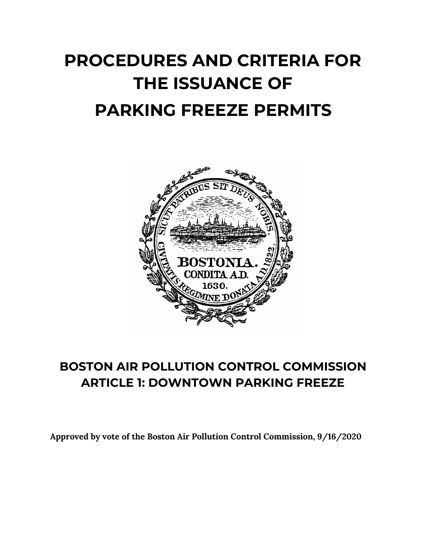# **PROCEDURES AND CRITERIA FOR THE ISSUANCE OF PARKING FREEZE PERMITS**



# **BOSTON AIR POLLUTION CONTROL COMMISSION ARTICLE 1: DOWNTOWN PARKING FREEZE**

**Approved by vote of the Boston Air Pollution Control Commission, 9/16/2020**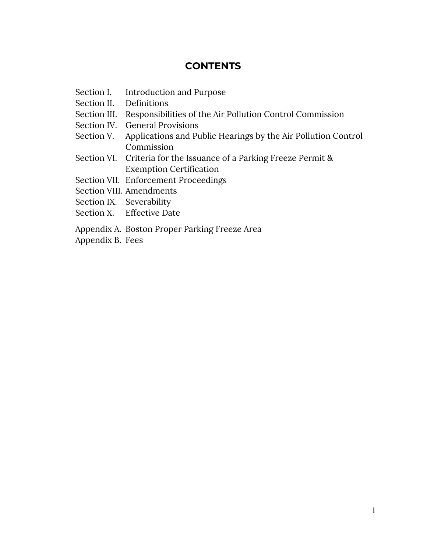# **CONTENTS**

- Section I. Introduction and Purpose
- Section II. Definitions
- Section III. Responsibilities of the Air Pollution Control Commission
- Section IV. General Provisions
- Section V. Applications and Public Hearings by the Air Pollution Control Commission
- Section VI. Criteria for the Issuance of a Parking Freeze Permit & Exemption Certification
- Section VII. Enforcement Proceedings
- Section VIII. Amendments
- Section IX. Severability
- Section X. Effective Date
- Appendix A. Boston Proper Parking Freeze Area
- Appendix B. Fees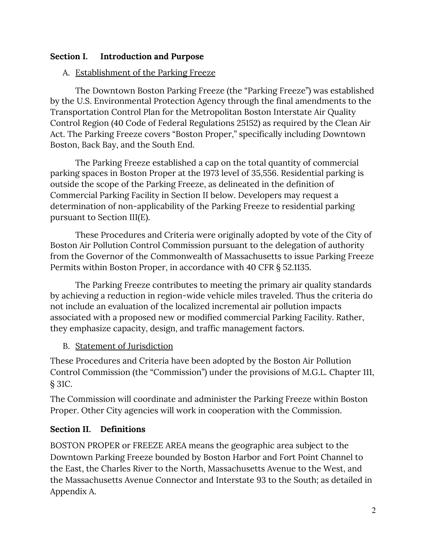# **Section I. Introduction and Purpose**

# A. Establishment of the Parking Freeze

The Downtown Boston Parking Freeze (the "Parking Freeze") was established by the U.S. Environmental Protection Agency through the final amendments to the Transportation Control Plan for the Metropolitan Boston Interstate Air Quality Control Region (40 Code of Federal Regulations 25152) as required by the Clean Air Act. The Parking Freeze covers "Boston Proper," specifically including Downtown Boston, Back Bay, and the South End.

The Parking Freeze established a cap on the total quantity of commercial parking spaces in Boston Proper at the 1973 level of 35,556. Residential parking is outside the scope of the Parking Freeze, as delineated in the definition of Commercial Parking Facility in Section II below. Developers may request a determination of non-applicability of the Parking Freeze to residential parking pursuant to Section III(E).

These Procedures and Criteria were originally adopted by vote of the City of Boston Air Pollution Control Commission pursuant to the delegation of authority from the Governor of the Commonwealth of Massachusetts to issue Parking Freeze Permits within Boston Proper, in accordance with 40 CFR § 52.1135.

The Parking Freeze contributes to meeting the primary air quality standards by achieving a reduction in region-wide vehicle miles traveled. Thus the criteria do not include an evaluation of the localized incremental air pollution impacts associated with a proposed new or modified commercial Parking Facility. Rather, they emphasize capacity, design, and traffic management factors.

# B. Statement of Jurisdiction

These Procedures and Criteria have been adopted by the Boston Air Pollution Control Commission (the "Commission") under the provisions of M.G.L. Chapter 111, § 31C.

The Commission will coordinate and administer the Parking Freeze within Boston Proper. Other City agencies will work in cooperation with the Commission.

# **Section II. Definitions**

BOSTON PROPER or FREEZE AREA means the geographic area subject to the Downtown Parking Freeze bounded by Boston Harbor and Fort Point Channel to the East, the Charles River to the North, Massachusetts Avenue to the West, and the Massachusetts Avenue Connector and Interstate 93 to the South; as detailed in Appendix A.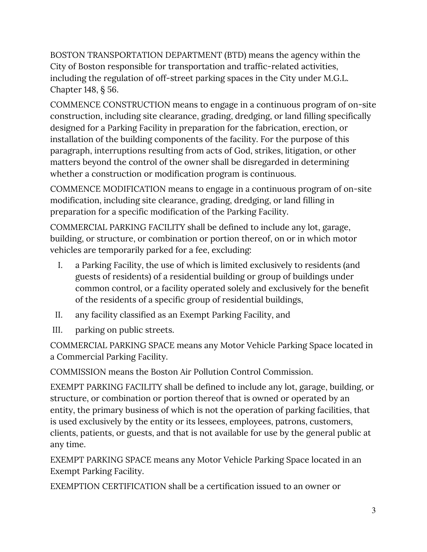BOSTON TRANSPORTATION DEPARTMENT (BTD) means the agency within the City of Boston responsible for transportation and traffic-related activities, including the regulation of off-street parking spaces in the City under M.G.L. Chapter 148, § 56.

COMMENCE CONSTRUCTION means to engage in a continuous program of on-site construction, including site clearance, grading, dredging, or land filling specifically designed for a Parking Facility in preparation for the fabrication, erection, or installation of the building components of the facility. For the purpose of this paragraph, interruptions resulting from acts of God, strikes, litigation, or other matters beyond the control of the owner shall be disregarded in determining whether a construction or modification program is continuous.

COMMENCE MODIFICATION means to engage in a continuous program of on-site modification, including site clearance, grading, dredging, or land filling in preparation for a specific modification of the Parking Facility.

COMMERCIAL PARKING FACILITY shall be defined to include any lot, garage, building, or structure, or combination or portion thereof, on or in which motor vehicles are temporarily parked for a fee, excluding:

- I. a Parking Facility, the use of which is limited exclusively to residents (and guests of residents) of a residential building or group of buildings under common control, or a facility operated solely and exclusively for the benefit of the residents of a specific group of residential buildings,
- II. any facility classified as an Exempt Parking Facility, and
- III. parking on public streets.

COMMERCIAL PARKING SPACE means any Motor Vehicle Parking Space located in a Commercial Parking Facility.

COMMISSION means the Boston Air Pollution Control Commission.

EXEMPT PARKING FACILITY shall be defined to include any lot, garage, building, or structure, or combination or portion thereof that is owned or operated by an entity, the primary business of which is not the operation of parking facilities, that is used exclusively by the entity or its lessees, employees, patrons, customers, clients, patients, or guests, and that is not available for use by the general public at any time.

EXEMPT PARKING SPACE means any Motor Vehicle Parking Space located in an Exempt Parking Facility.

EXEMPTION CERTIFICATION shall be a certification issued to an owner or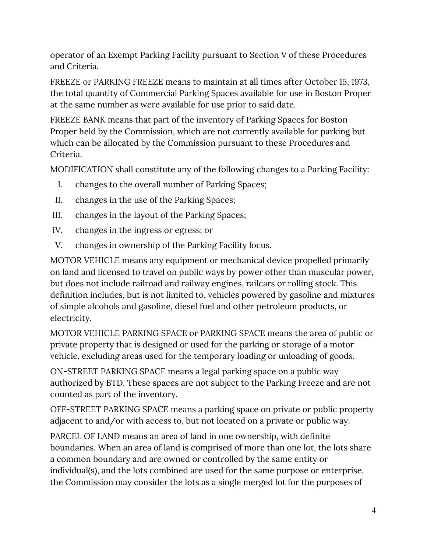operator of an Exempt Parking Facility pursuant to Section V of these Procedures and Criteria.

FREEZE or PARKING FREEZE means to maintain at all times after October 15, 1973, the total quantity of Commercial Parking Spaces available for use in Boston Proper at the same number as were available for use prior to said date.

FREEZE BANK means that part of the inventory of Parking Spaces for Boston Proper held by the Commission, which are not currently available for parking but which can be allocated by the Commission pursuant to these Procedures and Criteria.

MODIFICATION shall constitute any of the following changes to a Parking Facility:

- I. changes to the overall number of Parking Spaces;
- II. changes in the use of the Parking Spaces;
- III. changes in the layout of the Parking Spaces;
- IV. changes in the ingress or egress; or
- V. changes in ownership of the Parking Facility locus.

MOTOR VEHICLE means any equipment or mechanical device propelled primarily on land and licensed to travel on public ways by power other than muscular power, but does not include railroad and railway engines, railcars or rolling stock. This definition includes, but is not limited to, vehicles powered by gasoline and mixtures of simple alcohols and gasoline, diesel fuel and other petroleum products, or electricity.

MOTOR VEHICLE PARKING SPACE or PARKING SPACE means the area of public or private property that is designed or used for the parking or storage of a motor vehicle, excluding areas used for the temporary loading or unloading of goods.

ON-STREET PARKING SPACE means a legal parking space on a public way authorized by BTD. These spaces are not subject to the Parking Freeze and are not counted as part of the inventory.

OFF-STREET PARKING SPACE means a parking space on private or public property adjacent to and/or with access to, but not located on a private or public way.

PARCEL OF LAND means an area of land in one ownership, with definite boundaries. When an area of land is comprised of more than one lot, the lots share a common boundary and are owned or controlled by the same entity or individual(s), and the lots combined are used for the same purpose or enterprise, the Commission may consider the lots as a single merged lot for the purposes of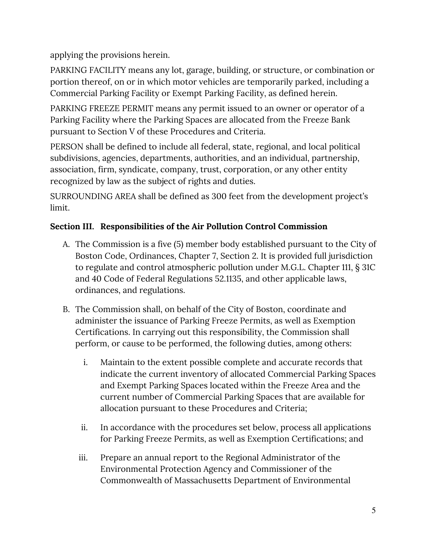applying the provisions herein.

PARKING FACILITY means any lot, garage, building, or structure, or combination or portion thereof, on or in which motor vehicles are temporarily parked, including a Commercial Parking Facility or Exempt Parking Facility, as defined herein.

PARKING FREEZE PERMIT means any permit issued to an owner or operator of a Parking Facility where the Parking Spaces are allocated from the Freeze Bank pursuant to Section V of these Procedures and Criteria.

PERSON shall be defined to include all federal, state, regional, and local political subdivisions, agencies, departments, authorities, and an individual, partnership, association, firm, syndicate, company, trust, corporation, or any other entity recognized by law as the subject of rights and duties.

SURROUNDING AREA shall be defined as 300 feet from the development project's limit.

# **Section III. Responsibilities of the Air Pollution Control Commission**

- A. The Commission is a five (5) member body established pursuant to the City of Boston Code, Ordinances, Chapter 7, Section 2. It is provided full jurisdiction to regulate and control atmospheric pollution under M.G.L. Chapter 111, § 31C and 40 Code of Federal Regulations 52.1135, and other applicable laws, ordinances, and regulations.
- B. The Commission shall, on behalf of the City of Boston, coordinate and administer the issuance of Parking Freeze Permits, as well as Exemption Certifications. In carrying out this responsibility, the Commission shall perform, or cause to be performed, the following duties, among others:
	- i. Maintain to the extent possible complete and accurate records that indicate the current inventory of allocated Commercial Parking Spaces and Exempt Parking Spaces located within the Freeze Area and the current number of Commercial Parking Spaces that are available for allocation pursuant to these Procedures and Criteria;
	- ii. In accordance with the procedures set below, process all applications for Parking Freeze Permits, as well as Exemption Certifications; and
	- iii. Prepare an annual report to the Regional Administrator of the Environmental Protection Agency and Commissioner of the Commonwealth of Massachusetts Department of Environmental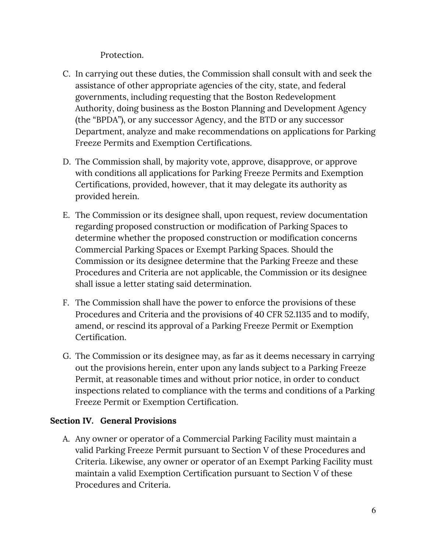## Protection.

- C. In carrying out these duties, the Commission shall consult with and seek the assistance of other appropriate agencies of the city, state, and federal governments, including requesting that the Boston Redevelopment Authority, doing business as the Boston Planning and Development Agency (the "BPDA"), or any successor Agency, and the BTD or any successor Department, analyze and make recommendations on applications for Parking Freeze Permits and Exemption Certifications.
- D. The Commission shall, by majority vote, approve, disapprove, or approve with conditions all applications for Parking Freeze Permits and Exemption Certifications, provided, however, that it may delegate its authority as provided herein.
- E. The Commission or its designee shall, upon request, review documentation regarding proposed construction or modification of Parking Spaces to determine whether the proposed construction or modification concerns Commercial Parking Spaces or Exempt Parking Spaces. Should the Commission or its designee determine that the Parking Freeze and these Procedures and Criteria are not applicable, the Commission or its designee shall issue a letter stating said determination.
- F. The Commission shall have the power to enforce the provisions of these Procedures and Criteria and the provisions of 40 CFR 52.1135 and to modify, amend, or rescind its approval of a Parking Freeze Permit or Exemption Certification.
- G. The Commission or its designee may, as far as it deems necessary in carrying out the provisions herein, enter upon any lands subject to a Parking Freeze Permit, at reasonable times and without prior notice, in order to conduct inspections related to compliance with the terms and conditions of a Parking Freeze Permit or Exemption Certification.

# **Section IV. General Provisions**

A. Any owner or operator of a Commercial Parking Facility must maintain a valid Parking Freeze Permit pursuant to Section V of these Procedures and Criteria. Likewise, any owner or operator of an Exempt Parking Facility must maintain a valid Exemption Certification pursuant to Section V of these Procedures and Criteria.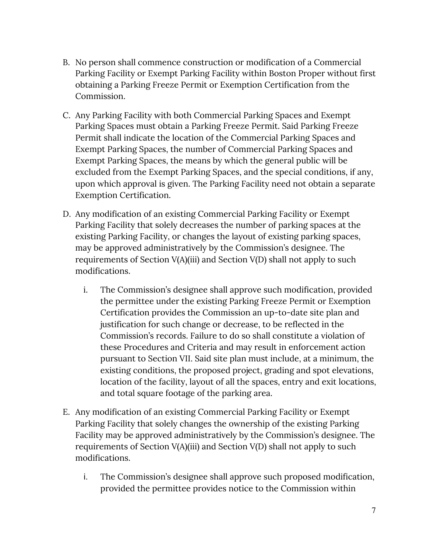- B. No person shall commence construction or modification of a Commercial Parking Facility or Exempt Parking Facility within Boston Proper without first obtaining a Parking Freeze Permit or Exemption Certification from the Commission.
- C. Any Parking Facility with both Commercial Parking Spaces and Exempt Parking Spaces must obtain a Parking Freeze Permit. Said Parking Freeze Permit shall indicate the location of the Commercial Parking Spaces and Exempt Parking Spaces, the number of Commercial Parking Spaces and Exempt Parking Spaces, the means by which the general public will be excluded from the Exempt Parking Spaces, and the special conditions, if any, upon which approval is given. The Parking Facility need not obtain a separate Exemption Certification.
- D. Any modification of an existing Commercial Parking Facility or Exempt Parking Facility that solely decreases the number of parking spaces at the existing Parking Facility, or changes the layout of existing parking spaces, may be approved administratively by the Commission's designee. The requirements of Section V(A)(iii) and Section V(D) shall not apply to such modifications.
	- i. The Commission's designee shall approve such modification, provided the permittee under the existing Parking Freeze Permit or Exemption Certification provides the Commission an up-to-date site plan and justification for such change or decrease, to be reflected in the Commission's records. Failure to do so shall constitute a violation of these Procedures and Criteria and may result in enforcement action pursuant to Section VII. Said site plan must include, at a minimum, the existing conditions, the proposed project, grading and spot elevations, location of the facility, layout of all the spaces, entry and exit locations, and total square footage of the parking area.
- E. Any modification of an existing Commercial Parking Facility or Exempt Parking Facility that solely changes the ownership of the existing Parking Facility may be approved administratively by the Commission's designee. The requirements of Section V(A)(iii) and Section V(D) shall not apply to such modifications.
	- i. The Commission's designee shall approve such proposed modification, provided the permittee provides notice to the Commission within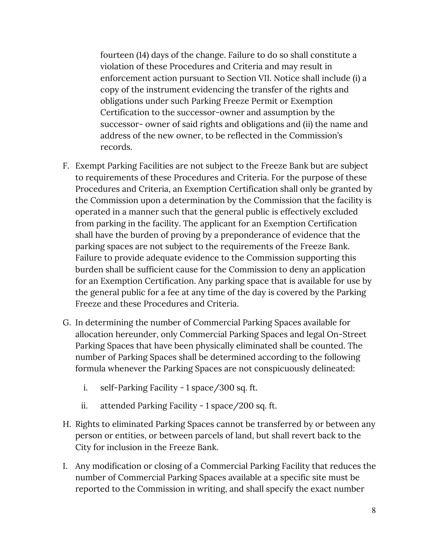fourteen (14) days of the change. Failure to do so shall constitute a violation of these Procedures and Criteria and may result in enforcement action pursuant to Section VII. Notice shall include (i) a copy of the instrument evidencing the transfer of the rights and obligations under such Parking Freeze Permit or Exemption Certification to the successor-owner and assumption by the successor- owner of said rights and obligations and (ii) the name and address of the new owner, to be reflected in the Commission's records.

- F. Exempt Parking Facilities are not subject to the Freeze Bank but are subject to requirements of these Procedures and Criteria. For the purpose of these Procedures and Criteria, an Exemption Certification shall only be granted by the Commission upon a determination by the Commission that the facility is operated in a manner such that the general public is effectively excluded from parking in the facility. The applicant for an Exemption Certification shall have the burden of proving by a preponderance of evidence that the parking spaces are not subject to the requirements of the Freeze Bank. Failure to provide adequate evidence to the Commission supporting this burden shall be sufficient cause for the Commission to deny an application for an Exemption Certification. Any parking space that is available for use by the general public for a fee at any time of the day is covered by the Parking Freeze and these Procedures and Criteria.
- G. In determining the number of Commercial Parking Spaces available for allocation hereunder, only Commercial Parking Spaces and legal On-Street Parking Spaces that have been physically eliminated shall be counted. The number of Parking Spaces shall be determined according to the following formula whenever the Parking Spaces are not conspicuously delineated:
	- i. self-Parking Facility 1 space/300 sq. ft.
	- ii. attended Parking Facility 1 space/200 sq. ft.
- H. Rights to eliminated Parking Spaces cannot be transferred by or between any person or entities, or between parcels of land, but shall revert back to the City for inclusion in the Freeze Bank.
- I. Any modification or closing of a Commercial Parking Facility that reduces the number of Commercial Parking Spaces available at a specific site must be reported to the Commission in writing, and shall specify the exact number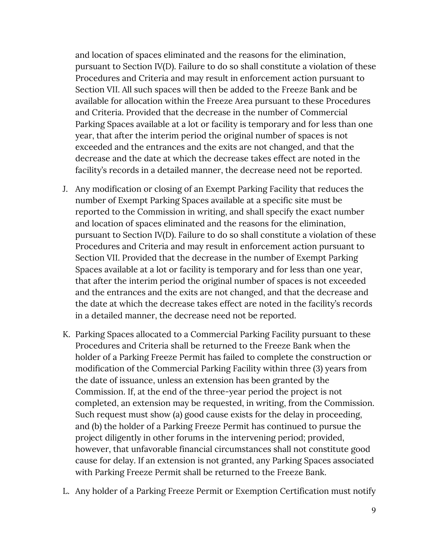and location of spaces eliminated and the reasons for the elimination, pursuant to Section IV(D). Failure to do so shall constitute a violation of these Procedures and Criteria and may result in enforcement action pursuant to Section VII. All such spaces will then be added to the Freeze Bank and be available for allocation within the Freeze Area pursuant to these Procedures and Criteria. Provided that the decrease in the number of Commercial Parking Spaces available at a lot or facility is temporary and for less than one year, that after the interim period the original number of spaces is not exceeded and the entrances and the exits are not changed, and that the decrease and the date at which the decrease takes effect are noted in the facility's records in a detailed manner, the decrease need not be reported.

- J. Any modification or closing of an Exempt Parking Facility that reduces the number of Exempt Parking Spaces available at a specific site must be reported to the Commission in writing, and shall specify the exact number and location of spaces eliminated and the reasons for the elimination, pursuant to Section IV(D). Failure to do so shall constitute a violation of these Procedures and Criteria and may result in enforcement action pursuant to Section VII. Provided that the decrease in the number of Exempt Parking Spaces available at a lot or facility is temporary and for less than one year, that after the interim period the original number of spaces is not exceeded and the entrances and the exits are not changed, and that the decrease and the date at which the decrease takes effect are noted in the facility's records in a detailed manner, the decrease need not be reported.
- K. Parking Spaces allocated to a Commercial Parking Facility pursuant to these Procedures and Criteria shall be returned to the Freeze Bank when the holder of a Parking Freeze Permit has failed to complete the construction or modification of the Commercial Parking Facility within three (3) years from the date of issuance, unless an extension has been granted by the Commission. If, at the end of the three-year period the project is not completed, an extension may be requested, in writing, from the Commission. Such request must show (a) good cause exists for the delay in proceeding, and (b) the holder of a Parking Freeze Permit has continued to pursue the project diligently in other forums in the intervening period; provided, however, that unfavorable financial circumstances shall not constitute good cause for delay. If an extension is not granted, any Parking Spaces associated with Parking Freeze Permit shall be returned to the Freeze Bank.
- L. Any holder of a Parking Freeze Permit or Exemption Certification must notify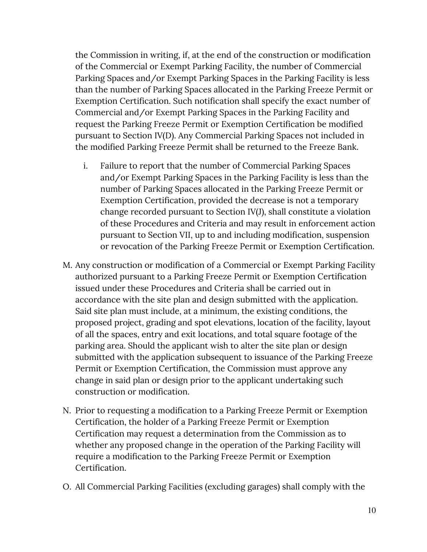the Commission in writing, if, at the end of the construction or modification of the Commercial or Exempt Parking Facility, the number of Commercial Parking Spaces and/or Exempt Parking Spaces in the Parking Facility is less than the number of Parking Spaces allocated in the Parking Freeze Permit or Exemption Certification. Such notification shall specify the exact number of Commercial and/or Exempt Parking Spaces in the Parking Facility and request the Parking Freeze Permit or Exemption Certification be modified pursuant to Section IV(D). Any Commercial Parking Spaces not included in the modified Parking Freeze Permit shall be returned to the Freeze Bank.

- i. Failure to report that the number of Commercial Parking Spaces and/or Exempt Parking Spaces in the Parking Facility is less than the number of Parking Spaces allocated in the Parking Freeze Permit or Exemption Certification, provided the decrease is not a temporary change recorded pursuant to Section IV(J), shall constitute a violation of these Procedures and Criteria and may result in enforcement action pursuant to Section VII, up to and including modification, suspension or revocation of the Parking Freeze Permit or Exemption Certification.
- M. Any construction or modification of a Commercial or Exempt Parking Facility authorized pursuant to a Parking Freeze Permit or Exemption Certification issued under these Procedures and Criteria shall be carried out in accordance with the site plan and design submitted with the application. Said site plan must include, at a minimum, the existing conditions, the proposed project, grading and spot elevations, location of the facility, layout of all the spaces, entry and exit locations, and total square footage of the parking area. Should the applicant wish to alter the site plan or design submitted with the application subsequent to issuance of the Parking Freeze Permit or Exemption Certification, the Commission must approve any change in said plan or design prior to the applicant undertaking such construction or modification.
- N. Prior to requesting a modification to a Parking Freeze Permit or Exemption Certification, the holder of a Parking Freeze Permit or Exemption Certification may request a determination from the Commission as to whether any proposed change in the operation of the Parking Facility will require a modification to the Parking Freeze Permit or Exemption Certification.
- O. All Commercial Parking Facilities (excluding garages) shall comply with the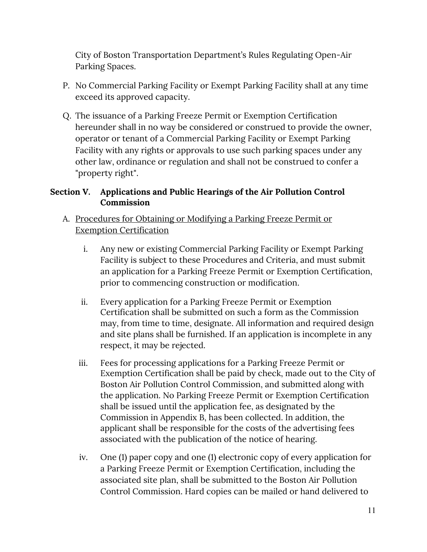City of Boston Transportation Department's Rules Regulating Open-Air Parking Spaces.

- P. No Commercial Parking Facility or Exempt Parking Facility shall at any time exceed its approved capacity.
- Q. The issuance of a Parking Freeze Permit or Exemption Certification hereunder shall in no way be considered or construed to provide the owner, operator or tenant of a Commercial Parking Facility or Exempt Parking Facility with any rights or approvals to use such parking spaces under any other law, ordinance or regulation and shall not be construed to confer a "property right".

# **Section V. Applications and Public Hearings of the Air Pollution Control Commission**

- A. Procedures for Obtaining or Modifying a Parking Freeze Permit or Exemption Certification
	- i. Any new or existing Commercial Parking Facility or Exempt Parking Facility is subject to these Procedures and Criteria, and must submit an application for a Parking Freeze Permit or Exemption Certification, prior to commencing construction or modification.
	- ii. Every application for a Parking Freeze Permit or Exemption Certification shall be submitted on such a form as the Commission may, from time to time, designate. All information and required design and site plans shall be furnished. If an application is incomplete in any respect, it may be rejected.
	- iii. Fees for processing applications for a Parking Freeze Permit or Exemption Certification shall be paid by check, made out to the City of Boston Air Pollution Control Commission, and submitted along with the application. No Parking Freeze Permit or Exemption Certification shall be issued until the application fee, as designated by the Commission in Appendix B, has been collected. In addition, the applicant shall be responsible for the costs of the advertising fees associated with the publication of the notice of hearing.
	- iv. One (1) paper copy and one (1) electronic copy of every application for a Parking Freeze Permit or Exemption Certification, including the associated site plan, shall be submitted to the Boston Air Pollution Control Commission. Hard copies can be mailed or hand delivered to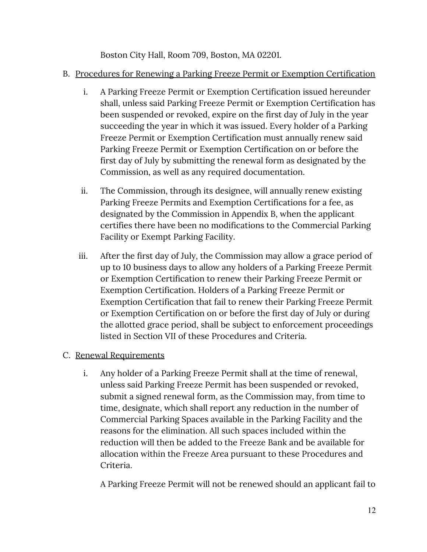Boston City Hall, Room 709, Boston, MA 02201.

# B. Procedures for Renewing a Parking Freeze Permit or Exemption Certification

- i. A Parking Freeze Permit or Exemption Certification issued hereunder shall, unless said Parking Freeze Permit or Exemption Certification has been suspended or revoked, expire on the first day of July in the year succeeding the year in which it was issued. Every holder of a Parking Freeze Permit or Exemption Certification must annually renew said Parking Freeze Permit or Exemption Certification on or before the first day of July by submitting the renewal form as designated by the Commission, as well as any required documentation.
- ii. The Commission, through its designee, will annually renew existing Parking Freeze Permits and Exemption Certifications for a fee, as designated by the Commission in Appendix B, when the applicant certifies there have been no modifications to the Commercial Parking Facility or Exempt Parking Facility.
- iii. After the first day of July, the Commission may allow a grace period of up to 10 business days to allow any holders of a Parking Freeze Permit or Exemption Certification to renew their Parking Freeze Permit or Exemption Certification. Holders of a Parking Freeze Permit or Exemption Certification that fail to renew their Parking Freeze Permit or Exemption Certification on or before the first day of July or during the allotted grace period, shall be subject to enforcement proceedings listed in Section VII of these Procedures and Criteria.

# C. Renewal Requirements

i. Any holder of a Parking Freeze Permit shall at the time of renewal, unless said Parking Freeze Permit has been suspended or revoked, submit a signed renewal form, as the Commission may, from time to time, designate, which shall report any reduction in the number of Commercial Parking Spaces available in the Parking Facility and the reasons for the elimination. All such spaces included within the reduction will then be added to the Freeze Bank and be available for allocation within the Freeze Area pursuant to these Procedures and Criteria.

A Parking Freeze Permit will not be renewed should an applicant fail to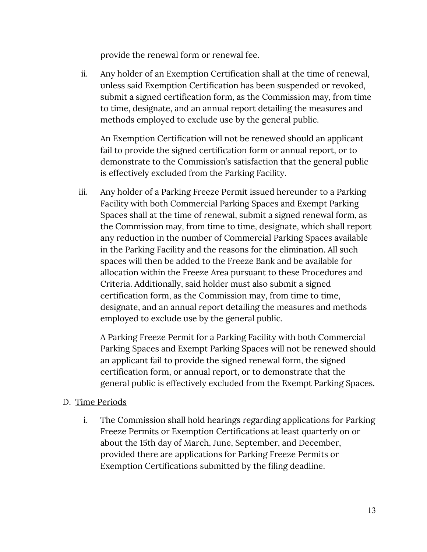provide the renewal form or renewal fee.

ii. Any holder of an Exemption Certification shall at the time of renewal, unless said Exemption Certification has been suspended or revoked, submit a signed certification form, as the Commission may, from time to time, designate, and an annual report detailing the measures and methods employed to exclude use by the general public.

An Exemption Certification will not be renewed should an applicant fail to provide the signed certification form or annual report, or to demonstrate to the Commission's satisfaction that the general public is effectively excluded from the Parking Facility.

iii. Any holder of a Parking Freeze Permit issued hereunder to a Parking Facility with both Commercial Parking Spaces and Exempt Parking Spaces shall at the time of renewal, submit a signed renewal form, as the Commission may, from time to time, designate, which shall report any reduction in the number of Commercial Parking Spaces available in the Parking Facility and the reasons for the elimination. All such spaces will then be added to the Freeze Bank and be available for allocation within the Freeze Area pursuant to these Procedures and Criteria. Additionally, said holder must also submit a signed certification form, as the Commission may, from time to time, designate, and an annual report detailing the measures and methods employed to exclude use by the general public.

A Parking Freeze Permit for a Parking Facility with both Commercial Parking Spaces and Exempt Parking Spaces will not be renewed should an applicant fail to provide the signed renewal form, the signed certification form, or annual report, or to demonstrate that the general public is effectively excluded from the Exempt Parking Spaces.

## D. Time Periods

i. The Commission shall hold hearings regarding applications for Parking Freeze Permits or Exemption Certifications at least quarterly on or about the 15th day of March, June, September, and December, provided there are applications for Parking Freeze Permits or Exemption Certifications submitted by the filing deadline.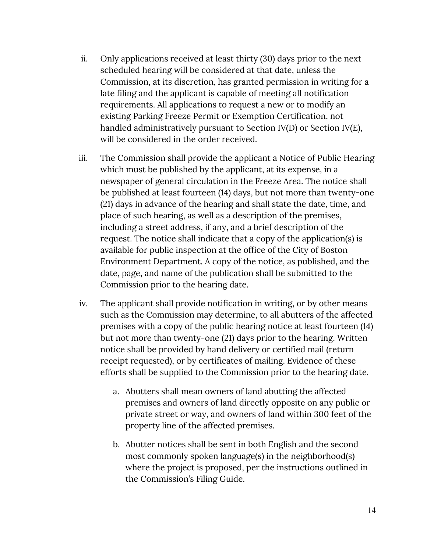- ii. Only applications received at least thirty (30) days prior to the next scheduled hearing will be considered at that date, unless the Commission, at its discretion, has granted permission in writing for a late filing and the applicant is capable of meeting all notification requirements. All applications to request a new or to modify an existing Parking Freeze Permit or Exemption Certification, not handled administratively pursuant to Section IV(D) or Section IV(E), will be considered in the order received.
- iii. The Commission shall provide the applicant a Notice of Public Hearing which must be published by the applicant, at its expense, in a newspaper of general circulation in the Freeze Area. The notice shall be published at least fourteen (14) days, but not more than twenty-one (21) days in advance of the hearing and shall state the date, time, and place of such hearing, as well as a description of the premises, including a street address, if any, and a brief description of the request. The notice shall indicate that a copy of the application(s) is available for public inspection at the office of the City of Boston Environment Department. A copy of the notice, as published, and the date, page, and name of the publication shall be submitted to the Commission prior to the hearing date.
- iv. The applicant shall provide notification in writing, or by other means such as the Commission may determine, to all abutters of the affected premises with a copy of the public hearing notice at least fourteen (14) but not more than twenty-one (21) days prior to the hearing. Written notice shall be provided by hand delivery or certified mail (return receipt requested), or by certificates of mailing. Evidence of these efforts shall be supplied to the Commission prior to the hearing date.
	- a. Abutters shall mean owners of land abutting the affected premises and owners of land directly opposite on any public or private street or way, and owners of land within 300 feet of the property line of the affected premises.
	- b. Abutter notices shall be sent in both English and the second most commonly spoken language(s) in the neighborhood(s) where the project is proposed, per the instructions outlined in the Commission's Filing Guide.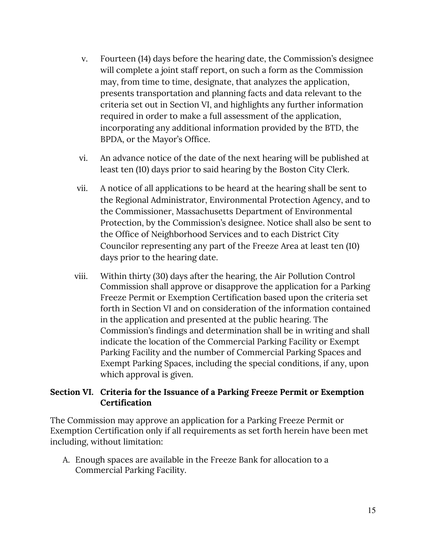- v. Fourteen (14) days before the hearing date, the Commission's designee will complete a joint staff report, on such a form as the Commission may, from time to time, designate, that analyzes the application, presents transportation and planning facts and data relevant to the criteria set out in Section VI, and highlights any further information required in order to make a full assessment of the application, incorporating any additional information provided by the BTD, the BPDA, or the Mayor's Office.
- vi. An advance notice of the date of the next hearing will be published at least ten (10) days prior to said hearing by the Boston City Clerk.
- vii. A notice of all applications to be heard at the hearing shall be sent to the Regional Administrator, Environmental Protection Agency, and to the Commissioner, Massachusetts Department of Environmental Protection, by the Commission's designee. Notice shall also be sent to the Office of Neighborhood Services and to each District City Councilor representing any part of the Freeze Area at least ten (10) days prior to the hearing date.
- viii. Within thirty (30) days after the hearing, the Air Pollution Control Commission shall approve or disapprove the application for a Parking Freeze Permit or Exemption Certification based upon the criteria set forth in Section VI and on consideration of the information contained in the application and presented at the public hearing. The Commission's findings and determination shall be in writing and shall indicate the location of the Commercial Parking Facility or Exempt Parking Facility and the number of Commercial Parking Spaces and Exempt Parking Spaces, including the special conditions, if any, upon which approval is given.

## **Section VI. Criteria for the Issuance of a Parking Freeze Permit or Exemption Certification**

The Commission may approve an application for a Parking Freeze Permit or Exemption Certification only if all requirements as set forth herein have been met including, without limitation:

A. Enough spaces are available in the Freeze Bank for allocation to a Commercial Parking Facility.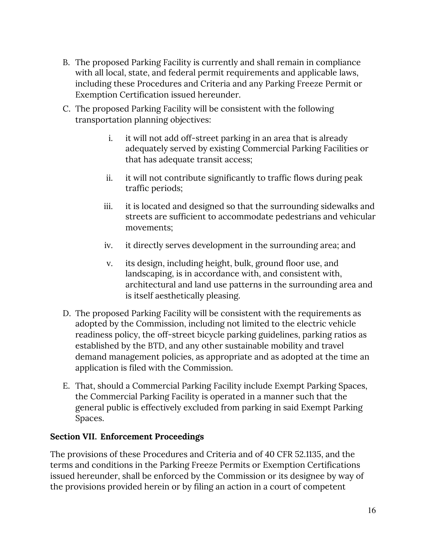- B. The proposed Parking Facility is currently and shall remain in compliance with all local, state, and federal permit requirements and applicable laws, including these Procedures and Criteria and any Parking Freeze Permit or Exemption Certification issued hereunder.
- C. The proposed Parking Facility will be consistent with the following transportation planning objectives:
	- i. it will not add off-street parking in an area that is already adequately served by existing Commercial Parking Facilities or that has adequate transit access;
	- ii. it will not contribute significantly to traffic flows during peak traffic periods;
	- iii. it is located and designed so that the surrounding sidewalks and streets are sufficient to accommodate pedestrians and vehicular movements;
	- iv. it directly serves development in the surrounding area; and
	- v. its design, including height, bulk, ground floor use, and landscaping, is in accordance with, and consistent with, architectural and land use patterns in the surrounding area and is itself aesthetically pleasing.
- D. The proposed Parking Facility will be consistent with the requirements as adopted by the Commission, including not limited to the electric vehicle readiness policy, the off-street bicycle parking guidelines, parking ratios as established by the BTD, and any other sustainable mobility and travel demand management policies, as appropriate and as adopted at the time an application is filed with the Commission.
- E. That, should a Commercial Parking Facility include Exempt Parking Spaces, the Commercial Parking Facility is operated in a manner such that the general public is effectively excluded from parking in said Exempt Parking Spaces.

# **Section VII. Enforcement Proceedings**

The provisions of these Procedures and Criteria and of 40 CFR 52.1135, and the terms and conditions in the Parking Freeze Permits or Exemption Certifications issued hereunder, shall be enforced by the Commission or its designee by way of the provisions provided herein or by filing an action in a court of competent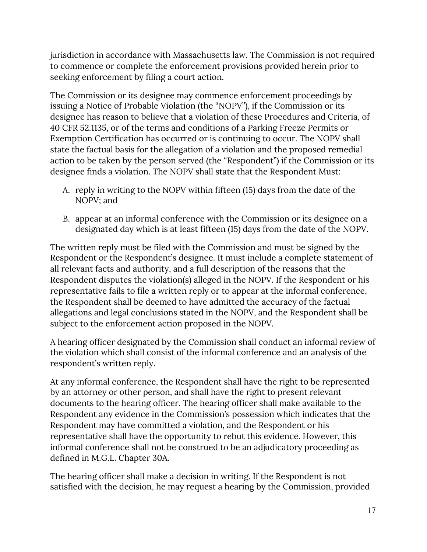jurisdiction in accordance with Massachusetts law. The Commission is not required to commence or complete the enforcement provisions provided herein prior to seeking enforcement by filing a court action.

The Commission or its designee may commence enforcement proceedings by issuing a Notice of Probable Violation (the "NOPV"), if the Commission or its designee has reason to believe that a violation of these Procedures and Criteria, of 40 CFR 52.1135, or of the terms and conditions of a Parking Freeze Permits or Exemption Certification has occurred or is continuing to occur. The NOPV shall state the factual basis for the allegation of a violation and the proposed remedial action to be taken by the person served (the "Respondent") if the Commission or its designee finds a violation. The NOPV shall state that the Respondent Must:

- A. reply in writing to the NOPV within fifteen (15) days from the date of the NOPV; and
- B. appear at an informal conference with the Commission or its designee on a designated day which is at least fifteen (15) days from the date of the NOPV.

The written reply must be filed with the Commission and must be signed by the Respondent or the Respondent's designee. It must include a complete statement of all relevant facts and authority, and a full description of the reasons that the Respondent disputes the violation(s) alleged in the NOPV. If the Respondent or his representative fails to file a written reply or to appear at the informal conference, the Respondent shall be deemed to have admitted the accuracy of the factual allegations and legal conclusions stated in the NOPV, and the Respondent shall be subject to the enforcement action proposed in the NOPV.

A hearing officer designated by the Commission shall conduct an informal review of the violation which shall consist of the informal conference and an analysis of the respondent's written reply.

At any informal conference, the Respondent shall have the right to be represented by an attorney or other person, and shall have the right to present relevant documents to the hearing officer. The hearing officer shall make available to the Respondent any evidence in the Commission's possession which indicates that the Respondent may have committed a violation, and the Respondent or his representative shall have the opportunity to rebut this evidence. However, this informal conference shall not be construed to be an adjudicatory proceeding as defined in M.G.L. Chapter 30A.

The hearing officer shall make a decision in writing. If the Respondent is not satisfied with the decision, he may request a hearing by the Commission, provided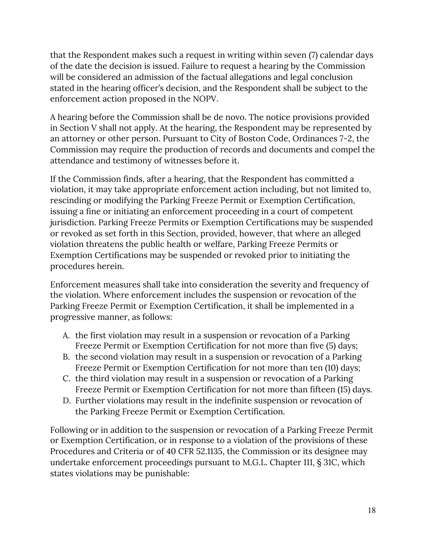that the Respondent makes such a request in writing within seven (7) calendar days of the date the decision is issued. Failure to request a hearing by the Commission will be considered an admission of the factual allegations and legal conclusion stated in the hearing officer's decision, and the Respondent shall be subject to the enforcement action proposed in the NOPV.

A hearing before the Commission shall be de novo. The notice provisions provided in Section V shall not apply. At the hearing, the Respondent may be represented by an attorney or other person. Pursuant to City of Boston Code, Ordinances 7-2, the Commission may require the production of records and documents and compel the attendance and testimony of witnesses before it.

If the Commission finds, after a hearing, that the Respondent has committed a violation, it may take appropriate enforcement action including, but not limited to, rescinding or modifying the Parking Freeze Permit or Exemption Certification, issuing a fine or initiating an enforcement proceeding in a court of competent jurisdiction. Parking Freeze Permits or Exemption Certifications may be suspended or revoked as set forth in this Section, provided, however, that where an alleged violation threatens the public health or welfare, Parking Freeze Permits or Exemption Certifications may be suspended or revoked prior to initiating the procedures herein.

Enforcement measures shall take into consideration the severity and frequency of the violation. Where enforcement includes the suspension or revocation of the Parking Freeze Permit or Exemption Certification, it shall be implemented in a progressive manner, as follows:

- A. the first violation may result in a suspension or revocation of a Parking Freeze Permit or Exemption Certification for not more than five (5) days;
- B. the second violation may result in a suspension or revocation of a Parking Freeze Permit or Exemption Certification for not more than ten (10) days;
- C. the third violation may result in a suspension or revocation of a Parking Freeze Permit or Exemption Certification for not more than fifteen (15) days.
- D. Further violations may result in the indefinite suspension or revocation of the Parking Freeze Permit or Exemption Certification.

Following or in addition to the suspension or revocation of a Parking Freeze Permit or Exemption Certification, or in response to a violation of the provisions of these Procedures and Criteria or of 40 CFR 52.1135, the Commission or its designee may undertake enforcement proceedings pursuant to M.G.L. Chapter 111, § 31C, which states violations may be punishable: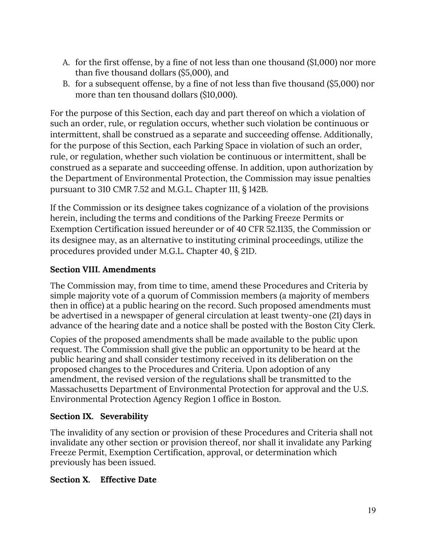- A. for the first offense, by a fine of not less than one thousand (\$1,000) nor more than five thousand dollars (\$5,000), and
- B. for a subsequent offense, by a fine of not less than five thousand (\$5,000) nor more than ten thousand dollars (\$10,000).

For the purpose of this Section, each day and part thereof on which a violation of such an order, rule, or regulation occurs, whether such violation be continuous or intermittent, shall be construed as a separate and succeeding offense. Additionally, for the purpose of this Section, each Parking Space in violation of such an order, rule, or regulation, whether such violation be continuous or intermittent, shall be construed as a separate and succeeding offense. In addition, upon authorization by the Department of Environmental Protection, the Commission may issue penalties pursuant to 310 CMR 7.52 and M.G.L. Chapter 111, § 142B.

If the Commission or its designee takes cognizance of a violation of the provisions herein, including the terms and conditions of the Parking Freeze Permits or Exemption Certification issued hereunder or of 40 CFR 52.1135, the Commission or its designee may, as an alternative to instituting criminal proceedings, utilize the procedures provided under M.G.L. Chapter 40, § 21D.

# **Section VIII. Amendments**

The Commission may, from time to time, amend these Procedures and Criteria by simple majority vote of a quorum of Commission members (a majority of members then in office) at a public hearing on the record. Such proposed amendments must be advertised in a newspaper of general circulation at least twenty-one (21) days in advance of the hearing date and a notice shall be posted with the Boston City Clerk.

Copies of the proposed amendments shall be made available to the public upon request. The Commission shall give the public an opportunity to be heard at the public hearing and shall consider testimony received in its deliberation on the proposed changes to the Procedures and Criteria. Upon adoption of any amendment, the revised version of the regulations shall be transmitted to the Massachusetts Department of Environmental Protection for approval and the U.S. Environmental Protection Agency Region 1 office in Boston.

## **Section IX. Severability**

The invalidity of any section or provision of these Procedures and Criteria shall not invalidate any other section or provision thereof, nor shall it invalidate any Parking Freeze Permit, Exemption Certification, approval, or determination which previously has been issued.

## **Section X. Effective Date**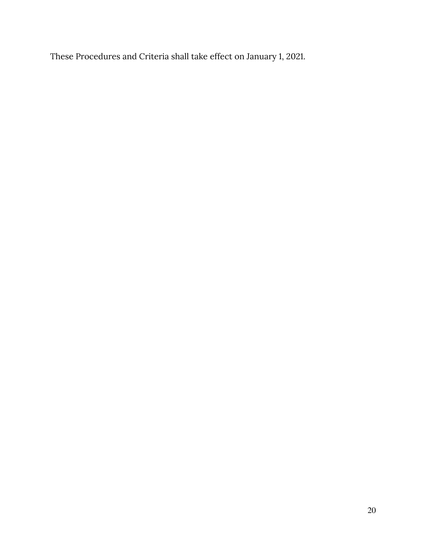These Procedures and Criteria shall take effect on January 1, 2021.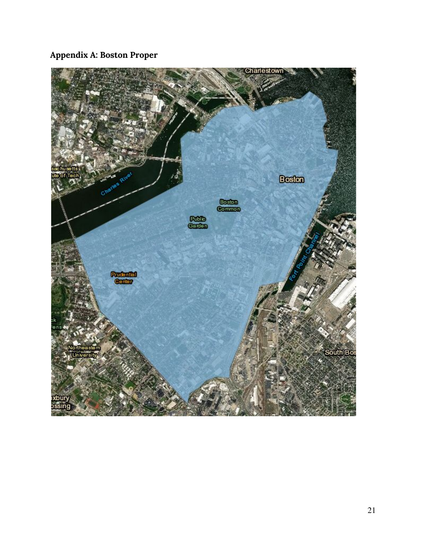# **Appendix A: Boston Proper**